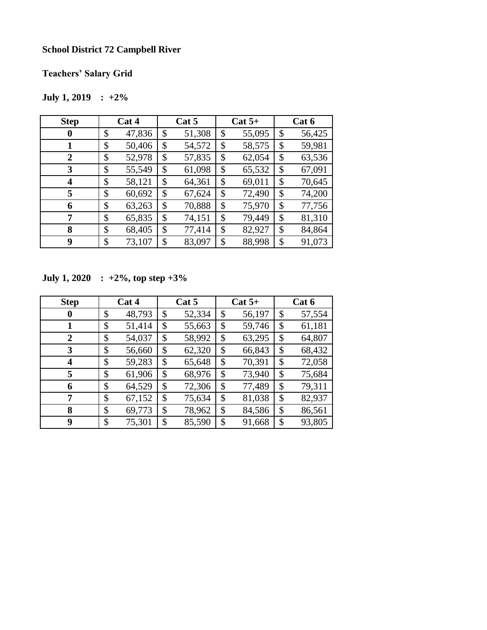## **School District 72 Campbell River**

**Teachers' Salary Grid**

## **July 1, 2019 : +2%**

| <b>Step</b>    | Cat 4 |        | Cat 5 |        | $Cat 5+$ |        | Cat 6 |        |
|----------------|-------|--------|-------|--------|----------|--------|-------|--------|
| 0              | \$    | 47,836 | \$    | 51,308 | \$       | 55,095 | \$    | 56,425 |
| 1              | \$    | 50,406 | \$    | 54,572 | \$       | 58,575 | \$    | 59,981 |
| $\overline{2}$ | \$    | 52,978 | \$    | 57,835 | \$       | 62,054 | \$    | 63,536 |
| 3              | \$    | 55,549 | \$    | 61,098 | \$       | 65,532 | \$    | 67,091 |
| 4              | \$    | 58,121 | \$    | 64,361 | \$       | 69,011 | \$    | 70,645 |
| 5              | \$    | 60,692 | \$    | 67,624 | \$       | 72,490 | \$    | 74,200 |
| 6              | \$    | 63,263 | \$    | 70,888 | \$       | 75,970 | \$    | 77,756 |
| 7              | \$    | 65,835 | \$    | 74,151 | \$       | 79,449 | \$    | 81,310 |
| 8              | \$    | 68,405 | \$    | 77,414 | \$       | 82,927 | \$    | 84,864 |
| 9              | \$    | 73,107 | \$    | 83,097 | \$       | 88,998 | \$    | 91,073 |

**July 1, 2020 : +2%, top step +3%**

| <b>Step</b>      | Cat 4        | Cat 5        | $Cat 5+$     | Cat 6        |
|------------------|--------------|--------------|--------------|--------------|
| 0                | \$<br>48,793 | \$<br>52,334 | \$<br>56,197 | \$<br>57,554 |
|                  | \$<br>51,414 | \$<br>55,663 | \$<br>59,746 | \$<br>61,181 |
| $\overline{2}$   | \$<br>54,037 | \$<br>58,992 | \$<br>63,295 | \$<br>64,807 |
| 3                | \$<br>56,660 | \$<br>62,320 | \$<br>66,843 | \$<br>68,432 |
| $\boldsymbol{4}$ | \$<br>59,283 | \$<br>65,648 | \$<br>70,391 | \$<br>72,058 |
| 5                | \$<br>61,906 | \$<br>68,976 | \$<br>73,940 | \$<br>75,684 |
| 6                | \$<br>64,529 | \$<br>72,306 | \$<br>77,489 | \$<br>79,311 |
| 7                | \$<br>67,152 | \$<br>75,634 | \$<br>81,038 | \$<br>82,937 |
| 8                | \$<br>69,773 | \$<br>78,962 | \$<br>84,586 | \$<br>86,561 |
| 9                | \$<br>75,301 | \$<br>85,590 | \$<br>91,668 | \$<br>93,805 |